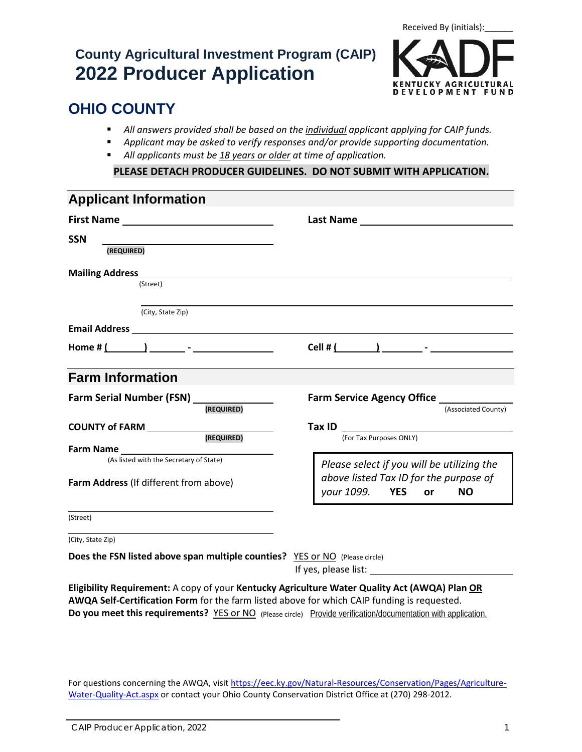# **County Agricultural Investment Program (CAIP) 2022 Producer Application**



# **OHIO COUNTY**

- *All answers provided shall be based on the individual applicant applying for CAIP funds.*
- *Applicant may be asked to verify responses and/or provide supporting documentation. All applicants must be 18 years or older at time of application.*

**PLEASE DETACH PRODUCER GUIDELINES. DO NOT SUBMIT WITH APPLICATION.**

| <b>Applicant Information</b>                                                                                                                                    |                                                                                                                                                                                                                                                                                                                                                              |  |  |
|-----------------------------------------------------------------------------------------------------------------------------------------------------------------|--------------------------------------------------------------------------------------------------------------------------------------------------------------------------------------------------------------------------------------------------------------------------------------------------------------------------------------------------------------|--|--|
| <b>First Name Example 2018</b>                                                                                                                                  | Last Name and the contract of the contract of the contract of the contract of the contract of the contract of the contract of the contract of the contract of the contract of the contract of the contract of the contract of                                                                                                                                |  |  |
| <b>SSN</b><br>(REQUIRED)                                                                                                                                        |                                                                                                                                                                                                                                                                                                                                                              |  |  |
| Mailing Address Management and Control of the Mailing Address<br>(Street)                                                                                       |                                                                                                                                                                                                                                                                                                                                                              |  |  |
| (City, State Zip)                                                                                                                                               |                                                                                                                                                                                                                                                                                                                                                              |  |  |
| Home # $\left(\begin{array}{ccc} 1 & 1 \\ 1 & 1 \end{array}\right)$ $\frac{1}{\left(1, \frac{1}{2}, \frac{1}{2}, \frac{1}{2}, \frac{1}{2}, \frac{1}{2}\right)}$ | Cell # $\left($ $\right)$ $\left($ $\right)$ $\left($ $\right)$ $\left($ $\right)$ $\left($ $\right)$ $\left($ $\right)$ $\left($ $\right)$ $\left($ $\right)$ $\left($ $\right)$ $\left($ $\right)$ $\left($ $\right)$ $\left($ $\right)$ $\left($ $\right)$ $\left($ $\right)$ $\left($ $\right)$ $\left($ $\right)$ $\left($ $\right)$ $\left($ $\right)$ |  |  |
| <b>Farm Information</b>                                                                                                                                         |                                                                                                                                                                                                                                                                                                                                                              |  |  |
| Farm Serial Number (FSN) __________<br>(REQUIRED)                                                                                                               | <b>Farm Service Agency Office</b><br>(Associated County)                                                                                                                                                                                                                                                                                                     |  |  |
| (REQUIRED)                                                                                                                                                      | Tax ID<br>(For Tax Purposes ONLY)                                                                                                                                                                                                                                                                                                                            |  |  |
| <b>Farm Name Example 2018</b><br>(As listed with the Secretary of State)                                                                                        | Please select if you will be utilizing the                                                                                                                                                                                                                                                                                                                   |  |  |
| Farm Address (If different from above)                                                                                                                          | above listed Tax ID for the purpose of<br>your 1099. YES or<br><b>NO</b>                                                                                                                                                                                                                                                                                     |  |  |
| (Street)                                                                                                                                                        |                                                                                                                                                                                                                                                                                                                                                              |  |  |
| (City, State Zip)                                                                                                                                               |                                                                                                                                                                                                                                                                                                                                                              |  |  |
| Does the FSN listed above span multiple counties? YES or NO (Please circle)                                                                                     |                                                                                                                                                                                                                                                                                                                                                              |  |  |
| Fligibility Requirement: A copy of your Kentucky Agriculture Water Quality Act (AWQA) Plan OR                                                                   |                                                                                                                                                                                                                                                                                                                                                              |  |  |

**Eligibility Requirement:** A copy of your **Kentucky Agriculture Water Quality Act (AWQA) Plan OR AWQA Self-Certification Form** for the farm listed above for which CAIP funding is requested. **Do you meet this requirements?** YES or NO (Please circle) Provide verification/documentation with application.

For questions concerning the AWQA, visit [https://eec.ky.gov/Natural-Resources/Conservation/Pages/Agriculture-](https://eec.ky.gov/Natural-Resources/Conservation/Pages/Agriculture-Water-Quality-Act.aspx)[Water-Quality-Act.aspx](https://eec.ky.gov/Natural-Resources/Conservation/Pages/Agriculture-Water-Quality-Act.aspx) or contact your Ohio County Conservation District Office at (270) 298-2012.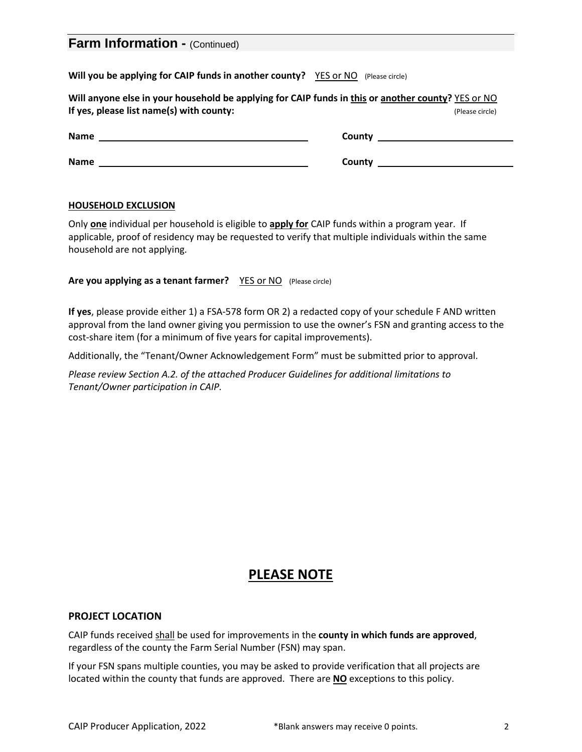## **Farm Information - (Continued)**

**Will you be applying for CAIP funds in another county?** YES or NO(Please circle)

**Will anyone else in your household be applying for CAIP funds in this or another county?** YES or NO **If yes, please list name(s) with county: County: County: Please circle** (Please circle)

| <b>Name</b> | County |
|-------------|--------|
| <b>Name</b> | County |

#### **HOUSEHOLD EXCLUSION**

Only **one** individual per household is eligible to **apply for** CAIP funds within a program year. If applicable, proof of residency may be requested to verify that multiple individuals within the same household are not applying.

#### **Are you applying as a tenant farmer?** YES or NO (Please circle)

**If yes**, please provide either 1) a FSA-578 form OR 2) a redacted copy of your schedule F AND written approval from the land owner giving you permission to use the owner's FSN and granting access to the cost-share item (for a minimum of five years for capital improvements).

Additionally, the "Tenant/Owner Acknowledgement Form" must be submitted prior to approval.

*Please review Section A.2. of the attached Producer Guidelines for additional limitations to Tenant/Owner participation in CAIP.*

## **PLEASE NOTE**

#### **PROJECT LOCATION**

CAIP funds received shall be used for improvements in the **county in which funds are approved**, regardless of the county the Farm Serial Number (FSN) may span.

If your FSN spans multiple counties, you may be asked to provide verification that all projects are located within the county that funds are approved. There are **NO** exceptions to this policy.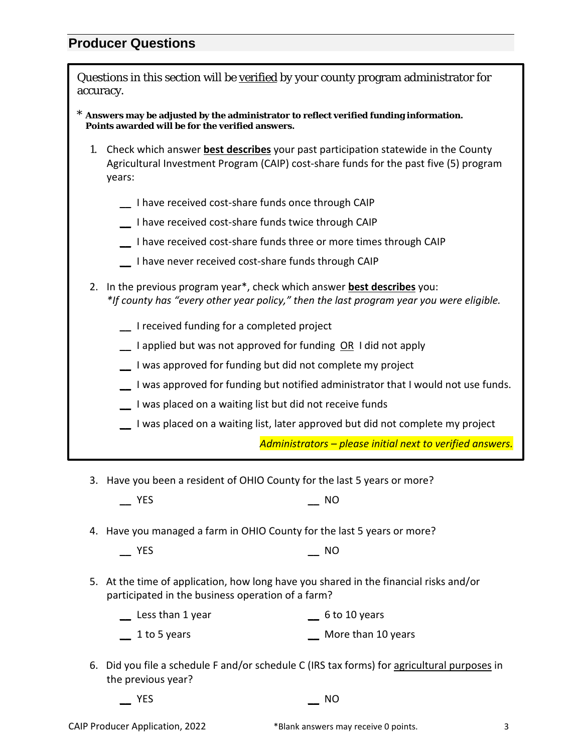## **Producer Questions**

| Questions in this section will be verified by your county program administrator for<br>accuracy.                                                                                           |  |  |  |
|--------------------------------------------------------------------------------------------------------------------------------------------------------------------------------------------|--|--|--|
| Answers may be adjusted by the administrator to reflect verified funding information.<br>Points awarded will be for the verified answers.                                                  |  |  |  |
| Check which answer best describes your past participation statewide in the County<br>1.<br>Agricultural Investment Program (CAIP) cost-share funds for the past five (5) program<br>years: |  |  |  |
| I have received cost-share funds once through CAIP                                                                                                                                         |  |  |  |
| I have received cost-share funds twice through CAIP                                                                                                                                        |  |  |  |
| I have received cost-share funds three or more times through CAIP                                                                                                                          |  |  |  |
| I have never received cost-share funds through CAIP                                                                                                                                        |  |  |  |
| In the previous program year*, check which answer best describes you:<br>2.<br>*If county has "every other year policy," then the last program year you were eligible.                     |  |  |  |
| I received funding for a completed project                                                                                                                                                 |  |  |  |
| 1 applied but was not approved for funding OR I did not apply                                                                                                                              |  |  |  |
| I was approved for funding but did not complete my project                                                                                                                                 |  |  |  |
| I was approved for funding but notified administrator that I would not use funds.                                                                                                          |  |  |  |
| I was placed on a waiting list but did not receive funds                                                                                                                                   |  |  |  |
| I was placed on a waiting list, later approved but did not complete my project                                                                                                             |  |  |  |
| Administrators - please initial next to verified answers.                                                                                                                                  |  |  |  |
|                                                                                                                                                                                            |  |  |  |

3. Have you been a resident of OHIO County for the last 5 years or more?

| VFC<br>ر ۱ ۱ | $\ddotsc$<br>NO |
|--------------|-----------------|
|              |                 |

4. Have you managed a farm in OHIO County for the last 5 years or more?

**\_\_** YES **\_\_** NO

5. At the time of application, how long have you shared in the financial risks and/or participated in the business operation of a farm?

| Less than 1 year | 6 to 10 years      |
|------------------|--------------------|
| 1 to 5 years     | More than 10 years |

6. Did you file a schedule F and/or schedule C (IRS tax forms) for agricultural purposes in the previous year?

| <b>YES</b> | <b>NO</b> |
|------------|-----------|
|            |           |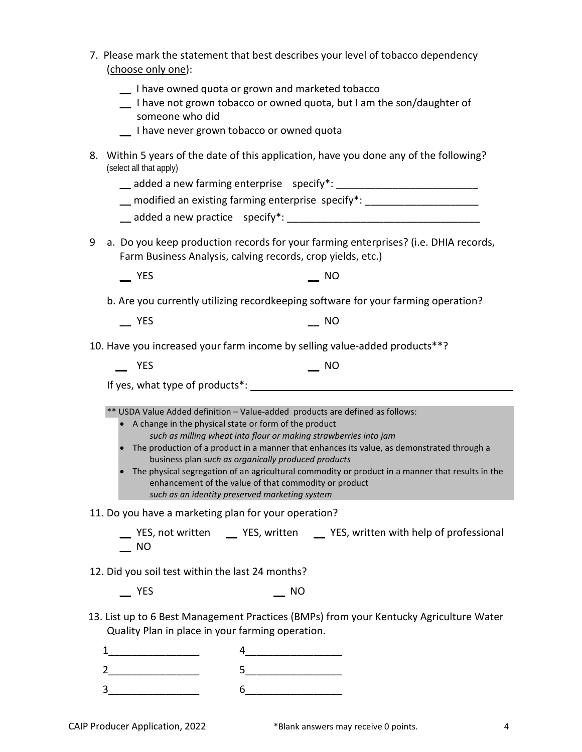| 7. Please mark the statement that best describes your level of tobacco dependency |
|-----------------------------------------------------------------------------------|
| (choose only one):                                                                |

- **\_\_** I have owned quota or grown and marketed tobacco
- **\_\_** I have not grown tobacco or owned quota, but I am the son/daughter of someone who did
- **\_\_** I have never grown tobacco or owned quota
- 8. Within 5 years of the date of this application, have you done any of the following? (select all that apply)
	- **\_\_** added a new farming enterprise specify\*: \_\_\_\_\_\_\_\_\_\_\_\_\_\_\_\_\_\_\_\_\_\_\_\_\_
	- **\_\_** modified an existing farming enterprise specify\*: \_\_\_\_\_\_\_\_\_\_\_\_\_\_\_\_\_\_\_\_
	- $\Box$  added a new practice specify<sup>\*</sup>:
- 9 a. Do you keep production records for your farming enterprises? (i.e. DHIA records, Farm Business Analysis, calving records, crop yields, etc.)
	- **\_\_** YES **\_\_** NO

b. Are you currently utilizing recordkeeping software for your farming operation?

 **\_\_** YES **\_\_** NO

10. Have you increased your farm income by selling value-added products\*\*?

 **\_\_** YES **\_\_** NO

If yes, what type of products\*:

\*\* USDA Value Added definition – Value-added products are defined as follows:

- A change in the physical state or form of the product *such as milling wheat into flour or making strawberries into jam*
- The production of a product in a manner that enhances its value, as demonstrated through a business plan *such as organically produced products*
- The physical segregation of an agricultural commodity or product in a manner that results in the enhancement of the value of that commodity or product *such as an identity preserved marketing system*
- 11. Do you have a marketing plan for your operation?
	- **\_\_** YES, not written **\_\_** YES, written **\_\_** YES, written with help of professional **\_\_** NO
- 12. Did you soil test within the last 24 months?
	- **\_\_** YES **\_\_** NO
- 13. List up to 6 Best Management Practices (BMPs) from your Kentucky Agriculture Water Quality Plan in place in your farming operation.
	- 1  $\overline{\phantom{a}}$  4 2\_\_\_\_\_\_\_\_\_\_\_\_\_\_\_\_ 5\_\_\_\_\_\_\_\_\_\_\_\_\_\_\_\_\_ 3<sup>2</sup>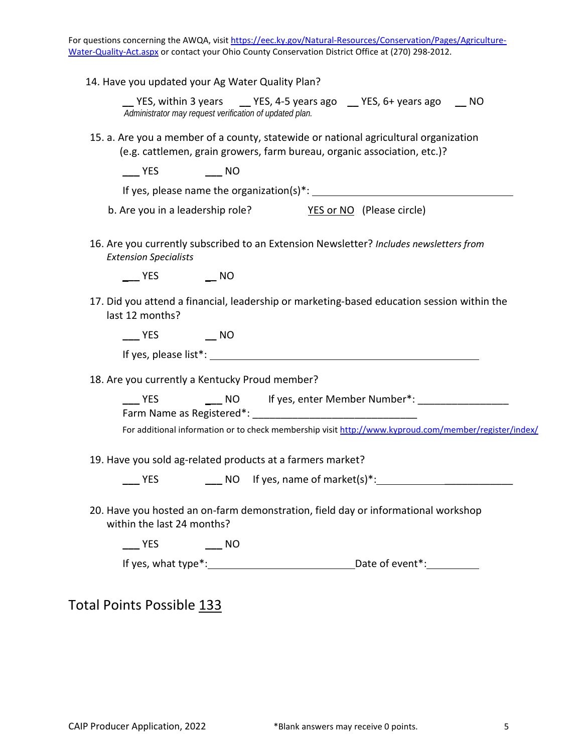For questions concerning the AWQA, visit [https://eec.ky.gov/Natural-Resources/Conservation/Pages/Agriculture-](https://eec.ky.gov/Natural-Resources/Conservation/Pages/Agriculture-Water-Quality-Act.aspx)[Water-Quality-Act.aspx](https://eec.ky.gov/Natural-Resources/Conservation/Pages/Agriculture-Water-Quality-Act.aspx) or contact your Ohio County Conservation District Office at (270) 298-2012.

|  |  | 14. Have you updated your Ag Water Quality Plan? |  |
|--|--|--------------------------------------------------|--|
|--|--|--------------------------------------------------|--|

**\_\_** YES, within 3 years **\_\_** YES, 4-5 years ago **\_\_** YES, 6+ years ago **\_\_** NO *Administrator may request verification of updated plan.*

15. a. Are you a member of a county, statewide or national agricultural organization (e.g. cattlemen, grain growers, farm bureau, organic association, etc.)?

**\_\_\_** YES **\_\_\_** NO

If yes, please name the organization(s)\*:

b. Are you in a leadership role? YES or NO(Please circle)

16. Are you currently subscribed to an Extension Newsletter? *Includes newsletters from Extension Specialists*

**\_\_\_** YES **\_\_** NO

17. Did you attend a financial, leadership or marketing-based education session within the last 12 months?

**\_\_\_** YES **\_\_** NO

If yes, please list\*:

18. Are you currently a Kentucky Proud member?

YES **\_\_\_\_\_\_\_\_ NO** If yes, enter Member Number\*: \_\_\_\_\_\_\_\_\_\_\_\_\_\_\_\_\_\_\_\_\_\_\_\_\_\_\_\_\_\_\_\_\_ Farm Name as Registered\*:

For additional information or to check membership visit<http://www.kyproud.com/member/register/index/>

19. Have you sold ag-related products at a farmers market?

**\_\_\_** YES **\_\_\_** NO If yes, name of market(s)\*: \_\_\_\_\_\_\_\_\_\_\_\_

20. Have you hosted an on-farm demonstration, field day or informational workshop within the last 24 months?

**\_\_\_** YES **\_\_\_** NO

If yes, what type\*: Date of event\*:

Total Points Possible 133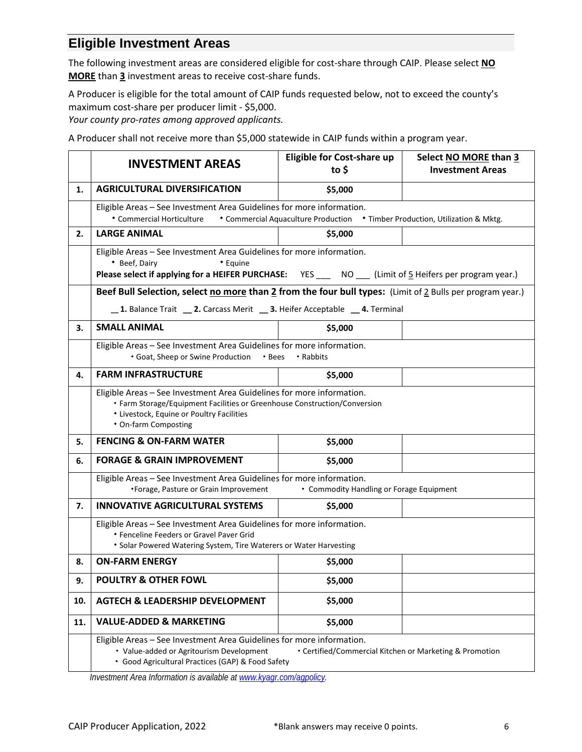# **Eligible Investment Areas**

The following investment areas are considered eligible for cost-share through CAIP. Please select **NO MORE** than **3** investment areas to receive cost-share funds.

A Producer is eligible for the total amount of CAIP funds requested below, not to exceed the county's maximum cost-share per producer limit - \$5,000.

*Your county pro-rates among approved applicants.*

A Producer shall not receive more than \$5,000 statewide in CAIP funds within a program year.

|     | <b>INVESTMENT AREAS</b>                                                                                                                                                                                                           | <b>Eligible for Cost-share up</b><br>to $$$ | Select NO MORE than 3<br><b>Investment Areas</b> |  |
|-----|-----------------------------------------------------------------------------------------------------------------------------------------------------------------------------------------------------------------------------------|---------------------------------------------|--------------------------------------------------|--|
| 1.  | <b>AGRICULTURAL DIVERSIFICATION</b>                                                                                                                                                                                               | \$5,000                                     |                                                  |  |
|     | Eligible Areas - See Investment Area Guidelines for more information.<br>* Commercial Horticulture<br>* Commercial Aquaculture Production * Timber Production, Utilization & Mktg.                                                |                                             |                                                  |  |
| 2.  | <b>LARGE ANIMAL</b>                                                                                                                                                                                                               | \$5,000                                     |                                                  |  |
|     | Eligible Areas - See Investment Area Guidelines for more information.<br>* Beef, Dairy<br>* Equine<br>Please select if applying for a HEIFER PURCHASE: YES ___ NO ___ (Limit of 5 Heifers per program year.)                      |                                             |                                                  |  |
|     | Beef Bull Selection, select no more than $2$ from the four bull types: (Limit of $2$ Bulls per program year.)                                                                                                                     |                                             |                                                  |  |
|     | _1. Balance Trait __ 2. Carcass Merit __ 3. Heifer Acceptable __ 4. Terminal                                                                                                                                                      |                                             |                                                  |  |
| З.  | <b>SMALL ANIMAL</b><br>\$5,000                                                                                                                                                                                                    |                                             |                                                  |  |
|     | Eligible Areas - See Investment Area Guidelines for more information.<br>* Goat, Sheep or Swine Production<br>$\cdot$ Bees<br>• Rabbits                                                                                           |                                             |                                                  |  |
| 4.  | <b>FARM INFRASTRUCTURE</b><br>\$5,000                                                                                                                                                                                             |                                             |                                                  |  |
|     | Eligible Areas – See Investment Area Guidelines for more information.<br>• Farm Storage/Equipment Facilities or Greenhouse Construction/Conversion<br>* Livestock, Equine or Poultry Facilities<br>• On-farm Composting           |                                             |                                                  |  |
| 5.  | <b>FENCING &amp; ON-FARM WATER</b>                                                                                                                                                                                                | \$5,000                                     |                                                  |  |
| 6.  | <b>FORAGE &amp; GRAIN IMPROVEMENT</b>                                                                                                                                                                                             | \$5,000                                     |                                                  |  |
|     | Eligible Areas - See Investment Area Guidelines for more information.<br>*Forage, Pasture or Grain Improvement<br>• Commodity Handling or Forage Equipment                                                                        |                                             |                                                  |  |
| 7.  | <b>INNOVATIVE AGRICULTURAL SYSTEMS</b>                                                                                                                                                                                            | \$5,000                                     |                                                  |  |
|     | Eligible Areas - See Investment Area Guidelines for more information.<br>* Fenceline Feeders or Gravel Paver Grid<br>* Solar Powered Watering System, Tire Waterers or Water Harvesting                                           |                                             |                                                  |  |
| 8.  | <b>ON-FARM ENERGY</b>                                                                                                                                                                                                             | \$5,000                                     |                                                  |  |
| 9.  | <b>POULTRY &amp; OTHER FOWL</b>                                                                                                                                                                                                   | \$5,000                                     |                                                  |  |
| 10. | <b>AGTECH &amp; LEADERSHIP DEVELOPMENT</b>                                                                                                                                                                                        | \$5,000                                     |                                                  |  |
| 11. | <b>VALUE-ADDED &amp; MARKETING</b>                                                                                                                                                                                                | \$5,000                                     |                                                  |  |
|     | Eligible Areas - See Investment Area Guidelines for more information.<br>• Value-added or Agritourism Development<br>• Certified/Commercial Kitchen or Marketing & Promotion<br>• Good Agricultural Practices (GAP) & Food Safety |                                             |                                                  |  |

*Investment Area Information is available at [www.kyagr.com/agpolicy.](http://www.kyagr.com/agpolicy)*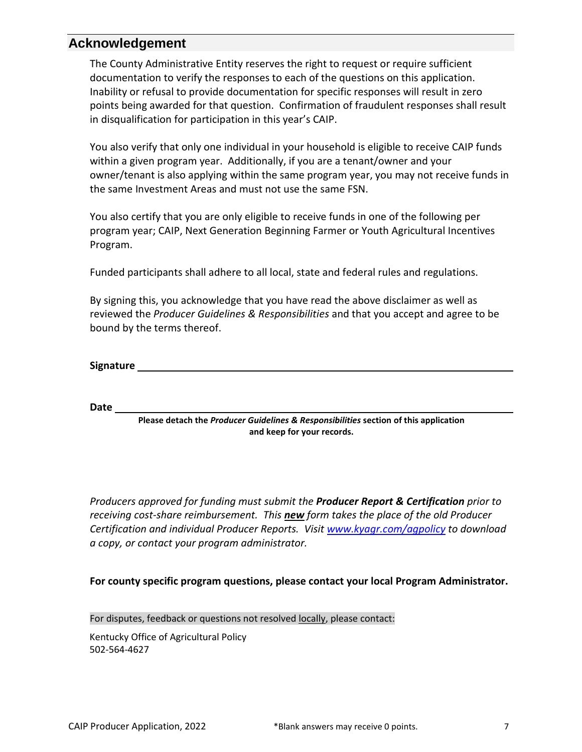## **Acknowledgement**

The County Administrative Entity reserves the right to request or require sufficient documentation to verify the responses to each of the questions on this application. Inability or refusal to provide documentation for specific responses will result in zero points being awarded for that question. Confirmation of fraudulent responses shall result in disqualification for participation in this year's CAIP.

You also verify that only one individual in your household is eligible to receive CAIP funds within a given program year. Additionally, if you are a tenant/owner and your owner/tenant is also applying within the same program year, you may not receive funds in the same Investment Areas and must not use the same FSN.

You also certify that you are only eligible to receive funds in one of the following per program year; CAIP, Next Generation Beginning Farmer or Youth Agricultural Incentives Program.

Funded participants shall adhere to all local, state and federal rules and regulations.

By signing this, you acknowledge that you have read the above disclaimer as well as reviewed the *Producer Guidelines & Responsibilities* and that you accept and agree to be bound by the terms thereof.

**Signature** 

**Date** 

**Please detach the** *Producer Guidelines & Responsibilities* **section of this application and keep for your records.**

*Producers approved for funding must submit the Producer Report & Certification prior to receiving cost-share reimbursement. This new form takes the place of the old Producer Certification and individual Producer Reports. Visit [www.kyagr.com/agpolicy](https://www.kyagr.com/agpolicy/) to download a copy, or contact your program administrator.*

**For county specific program questions, please contact your local Program Administrator.**

For disputes, feedback or questions not resolved locally, please contact:

Kentucky Office of Agricultural Policy 502-564-4627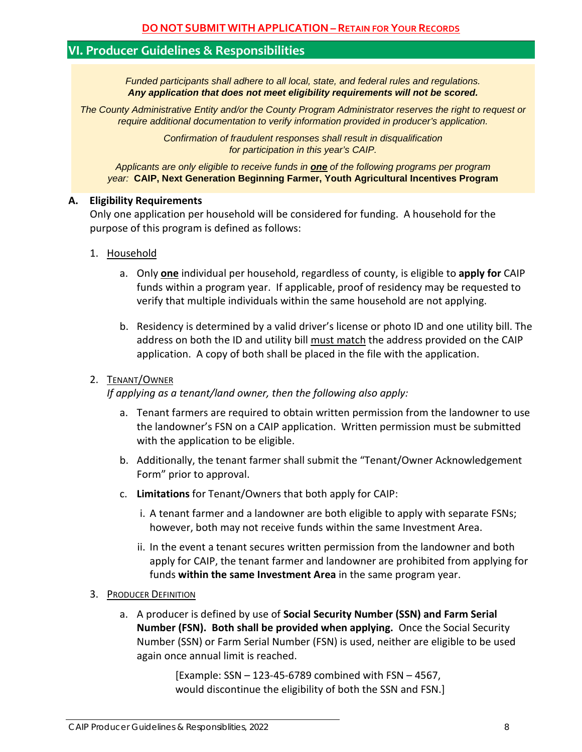## **VI. Producer Guidelines & Responsibilities**

*Funded participants shall adhere to all local, state, and federal rules and regulations. Any application that does not meet eligibility requirements will not be scored.*

*The County Administrative Entity and/or the County Program Administrator reserves the right to request or require additional documentation to verify information provided in producer's application.*

> *Confirmation of fraudulent responses shall result in disqualification for participation in this year's CAIP.*

*Applicants are only eligible to receive funds in one of the following programs per program year:* **CAIP, Next Generation Beginning Farmer, Youth Agricultural Incentives Program**

#### **A. Eligibility Requirements**

Only one application per household will be considered for funding. A household for the purpose of this program is defined as follows:

- 1. Household
	- a. Only **one** individual per household, regardless of county, is eligible to **apply for** CAIP funds within a program year. If applicable, proof of residency may be requested to verify that multiple individuals within the same household are not applying.
	- b. Residency is determined by a valid driver's license or photo ID and one utility bill. The address on both the ID and utility bill must match the address provided on the CAIP application. A copy of both shall be placed in the file with the application.

#### 2. TENANT/OWNER

*If applying as a tenant/land owner, then the following also apply:*

- a. Tenant farmers are required to obtain written permission from the landowner to use the landowner's FSN on a CAIP application. Written permission must be submitted with the application to be eligible.
- b. Additionally, the tenant farmer shall submit the "Tenant/Owner Acknowledgement Form" prior to approval.
- c. **Limitations** for Tenant/Owners that both apply for CAIP:
	- i. A tenant farmer and a landowner are both eligible to apply with separate FSNs; however, both may not receive funds within the same Investment Area.
	- ii. In the event a tenant secures written permission from the landowner and both apply for CAIP, the tenant farmer and landowner are prohibited from applying for funds **within the same Investment Area** in the same program year.
- 3. PRODUCER DEFINITION
	- a. A producer is defined by use of **Social Security Number (SSN) and Farm Serial Number (FSN). Both shall be provided when applying.** Once the Social Security Number (SSN) or Farm Serial Number (FSN) is used, neither are eligible to be used again once annual limit is reached.

[Example: SSN – 123-45-6789 combined with FSN – 4567, would discontinue the eligibility of both the SSN and FSN.]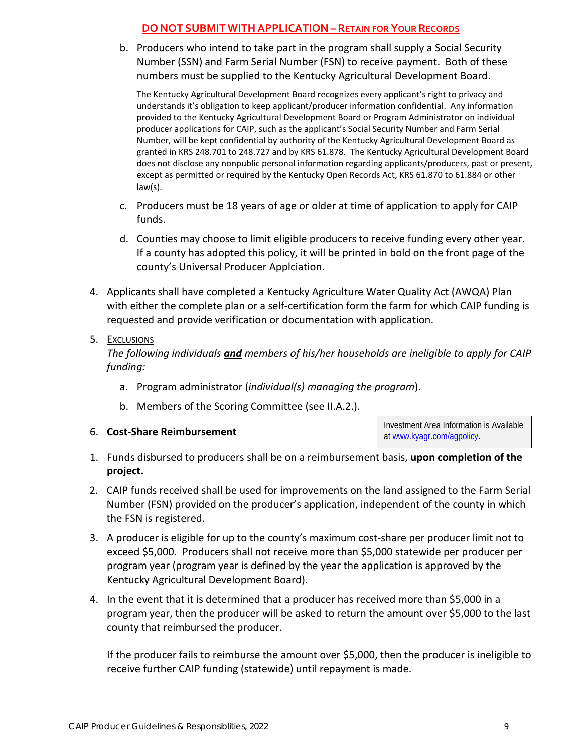### **DO NOT SUBMIT WITHAPPLICATION – RETAIN FOR YOUR RECORDS**

b. Producers who intend to take part in the program shall supply a Social Security Number (SSN) and Farm Serial Number (FSN) to receive payment. Both of these numbers must be supplied to the Kentucky Agricultural Development Board.

The Kentucky Agricultural Development Board recognizes every applicant's right to privacy and understands it's obligation to keep applicant/producer information confidential. Any information provided to the Kentucky Agricultural Development Board or Program Administrator on individual producer applications for CAIP, such as the applicant's Social Security Number and Farm Serial Number, will be kept confidential by authority of the Kentucky Agricultural Development Board as granted in KRS 248.701 to 248.727 and by KRS 61.878. The Kentucky Agricultural Development Board does not disclose any nonpublic personal information regarding applicants/producers, past or present, except as permitted or required by the Kentucky Open Records Act, KRS 61.870 to 61.884 or other law(s).

- c. Producers must be 18 years of age or older at time of application to apply for CAIP funds.
- d. Counties may choose to limit eligible producers to receive funding every other year. If a county has adopted this policy, it will be printed in bold on the front page of the county's Universal Producer Applciation.
- 4. Applicants shall have completed a Kentucky Agriculture Water Quality Act (AWQA) Plan with either the complete plan or a self-certification form the farm for which CAIP funding is requested and provide verification or documentation with application.

## 5. EXCLUSIONS

*The following individuals and members of his/her households are ineligible to apply for CAIP funding:*

- a. Program administrator (*individual(s) managing the program*).
- b. Members of the Scoring Committee (see II.A.2.).
- 6. **Cost-Share Reimbursement**

Investment Area Information is Available at [www.kyagr.com/agpolicy.](https://www.kyagr.com/agpolicy/) 

- 1. Funds disbursed to producers shall be on a reimbursement basis, **upon completion of the project.**
- 2. CAIP funds received shall be used for improvements on the land assigned to the Farm Serial Number (FSN) provided on the producer's application, independent of the county in which the FSN is registered.
- 3. A producer is eligible for up to the county's maximum cost-share per producer limit not to exceed \$5,000. Producers shall not receive more than \$5,000 statewide per producer per program year (program year is defined by the year the application is approved by the Kentucky Agricultural Development Board).
- 4. In the event that it is determined that a producer has received more than \$5,000 in a program year, then the producer will be asked to return the amount over \$5,000 to the last county that reimbursed the producer.

If the producer fails to reimburse the amount over \$5,000, then the producer is ineligible to receive further CAIP funding (statewide) until repayment is made.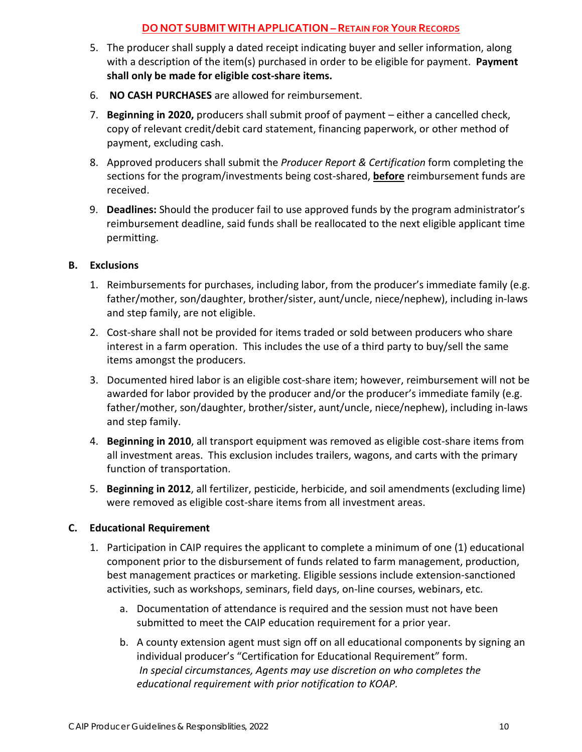## **DO NOT SUBMIT WITHAPPLICATION – RETAIN FOR YOUR RECORDS**

- 5. The producer shall supply a dated receipt indicating buyer and seller information, along with a description of the item(s) purchased in order to be eligible for payment. **Payment shall only be made for eligible cost-share items.**
- 6. **NO CASH PURCHASES** are allowed for reimbursement.
- 7. **Beginning in 2020,** producers shall submit proof of payment either a cancelled check, copy of relevant credit/debit card statement, financing paperwork, or other method of payment, excluding cash.
- 8. Approved producers shall submit the *Producer Report & Certification* form completing the sections for the program/investments being cost-shared, **before** reimbursement funds are received.
- 9. **Deadlines:** Should the producer fail to use approved funds by the program administrator's reimbursement deadline, said funds shall be reallocated to the next eligible applicant time permitting.

#### **B. Exclusions**

- 1. Reimbursements for purchases, including labor, from the producer's immediate family (e.g. father/mother, son/daughter, brother/sister, aunt/uncle, niece/nephew), including in-laws and step family, are not eligible.
- 2. Cost-share shall not be provided for items traded or sold between producers who share interest in a farm operation. This includes the use of a third party to buy/sell the same items amongst the producers.
- 3. Documented hired labor is an eligible cost-share item; however, reimbursement will not be awarded for labor provided by the producer and/or the producer's immediate family (e.g. father/mother, son/daughter, brother/sister, aunt/uncle, niece/nephew), including in-laws and step family.
- 4. **Beginning in 2010**, all transport equipment was removed as eligible cost-share items from all investment areas. This exclusion includes trailers, wagons, and carts with the primary function of transportation.
- 5. **Beginning in 2012**, all fertilizer, pesticide, herbicide, and soil amendments (excluding lime) were removed as eligible cost-share items from all investment areas.

### **C. Educational Requirement**

- 1. Participation in CAIP requires the applicant to complete a minimum of one (1) educational component prior to the disbursement of funds related to farm management, production, best management practices or marketing. Eligible sessions include extension-sanctioned activities, such as workshops, seminars, field days, on-line courses, webinars, etc.
	- a. Documentation of attendance is required and the session must not have been submitted to meet the CAIP education requirement for a prior year.
	- b. A county extension agent must sign off on all educational components by signing an individual producer's "Certification for Educational Requirement" form. *In special circumstances, Agents may use discretion on who completes the educational requirement with prior notification to KOAP.*